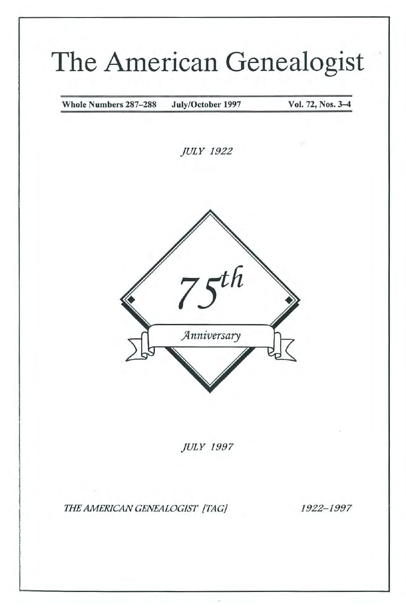# **The American Genealogist**

Whole Numbers 287-288 July/October 1997 Vol. 72, Nos. 3-4

JULY 1922



JULY 1997

*mE AMERICAN GENEALOGIST {TAG!* 1922- 1997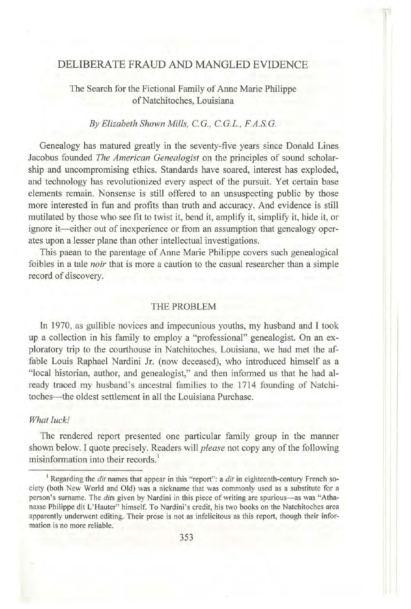### DELIBERATE FRAUD AND MANGLED EVIDENCE

#### The Search for the Fictional Family of Anne Marie Philippe of Natchitoches, Louisiana

#### *By Elizabeth Shown Mills, e.G., e.G.L., F.A.s.a*

Genealogy has matured greatly in the seventy-five years since Donald Lines Jacobus founded *The American Genealogist* on the principles of sound scholarship and uncompromising ethics. Standards have soared, interest has exploded, and technology has revolutionized every aspect of the pursuit. Vet certain base elements remain. Nonsense is still offered to an unsuspecting public by those more interested in fun and profits than truth and accuracy. And evidence is still mutilated by those who see fit to twist it, bend it, amplify it, simplify it, hide it, or ignore it—either out of inexperience or from an assumption that genealogy operates upon a lesser plane than other intellectual investigations.

This paean to the parentage of Anne Marie Philippe covers such genealogical foibles in a tale *noir* that is more a caution to the casual researcher than a simple record of discovery.

#### THE PROBLEM

In 1970, as gullible novices and impecunious youths, my husband and 1 took up a collection in his family to employ a "professional" genealogist. On an exploratory trip to the courthouse in Natchitoches, Louisiana, we had met the affable Louis Raphael Nardini Jr. (now deceased), who introduced himself as a "local historian, author, and genealogist," and then informed us that he had already traced my husband's ancestral families to the 1714 founding of Natchitoches- the oldest settlement in all the Louisiana Purchase.

#### *What luck!*

The rendered report presented one particular family group in the manner shown below. I quote precisely. Readers will *please* not copy any of the following **misinformation into their records. <sup>I</sup>**

<sup>&</sup>lt;sup>1</sup> Regarding the *dit* names that appear in this "report": a *dit* in eighteenth-century French so**ciety (both New World and Old) was a nickname that was commonly used as a substitute for a person's surname. The** *dits* **given by Nard ini in this piece** of writing **are spurious- as was "Athanasse Philippe dit L' Hauter" himse lf. To Nardini's credit, his two books on the Natchitoches area**  apparently underwent editing. Their prose is not as infelicitous as this report, though their infor**mation is no more reliable.**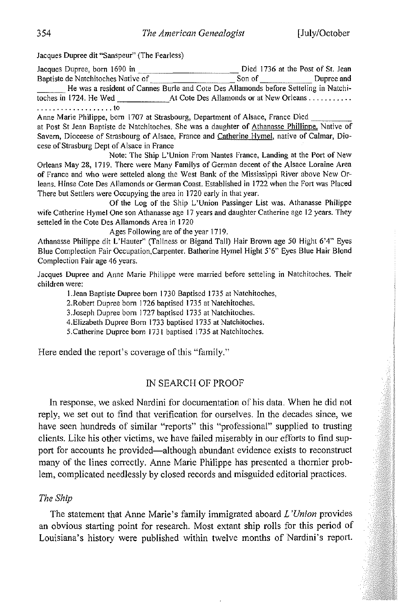**Jacques Dupree dit "Sanspeur" (The Fearless)** 

**Jacques Dupree, born 1690 in Died I 736 at the Post of St. Jean Baptiste de Natchitoches Native of Son of Son of Dupree and** \_\_\_ **He was a resident of Cannes Burle and Cote Des Allamonds before** Sette ling **in Natchi-**At Cote Des Allamonds or at New Orleans ........... . ... . . . . . . . . . . ... . . **to** 

Anne Marie Philippe, born 1707 at Strasbourg, Department of Alsace, France Died **at Post St Jean Baptiste de Natchitoches. She was a daughter of Athanasse Phillippe. Native of Savern, Dioceese of Strasbourg of AIsace, France and Catherine Hymel, native of Calmar, Diocese** of Strasburg **Dept of Alsace in France** 

**Note: The Ship L'Union From Nantes France, Landing at the Port** of New **Orleans May 28,1719. There were Many Familys** of German **decent** of the **Alsace Loraine Area of France and who were setteled along the West Bank of the Mississippi River above New Orleans. Hinse Cote Des AIJamonds or German Coast. Established in 1722 when the Fort was Placed There but Settlers were Occupying the area in 1720 early in that year.** 

**Of the Log of the Ship L'Union Passinger List was. Athanasse Philippe wife Catherine Hymel One son Athanasse age 17 years and daughter Catherine age 12 years. They setteJed in the Cote Des Allamonds Area in 1720** 

**Ages Following are** of the **year 1719.** 

**Athanasse Philippe dit L'Hauter" (Tallness or Bigand Tall) Hair Brown age 50 Hight 6'4" Eyes Blue Complection Fair Occupation,Carpenter. Batherine Hymel Hight 5'6" Eyes Blue Hair Blond Complection Fair age 46 years.** 

Jacques Dupree and Anne Marie Philippe were married before setteling in Natchitoches. Their **children were:** 

**l.Jean Baptiste Dupree born 1730 Baptised 1735 at Natchitoches,** 

**2.Robert Dupree born 1726 baptised 1735 at Natchitoches.** 

**3.Joseph Dupree born J 727 baptised 1735 at Natchitoches.** 

**4.Elizabeth Dupree Born 1733 baptised 1735 at Natchitoches.** 

**5.Catherine Dupree born 1731 baptised 1735 at Natchitoches.** 

Here ended the report's coverage of this "family."

#### IN SEARCH OF PROOF

In response, we asked Nardini for documentation of his data. When he did not reply, we set out to find that verification for ourselves. In the decades since, we have seen hundreds of similar "reports" this "professional" supplied to trusting clients. Like his other victims, we have failed miserably in our efforts to find support for accounts he provided—although abundant evidence exists to reconstruct many of the lines correctly. Anne Marie Philippe has presented a thornier problem, complicated needlessly by closed records and misguided editorial practices.

#### *The Ship*

The statement that Anne Marie's family immigrated aboard *L 'Union* provides an obvious starting point for research. Most extant ship rolls for this period of Louisiana's history were published within twelve months of Nardini's report.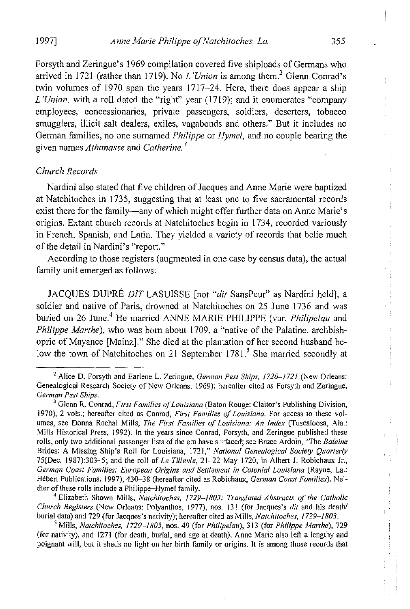Forsyth and Zeringue's 1969 compilation covered five shiploads of Germans who arrived in 1721 (rather than 1719). No *L'Union* is among them.<sup>2</sup> Glenn Conrad's twin volumes of 1970 span the years 1717-24. Here, there does appear a ship *L 'Union,* with a roll dated the "right" year (1719); and it enumerates "company **employees, concessionaries, private passengers, soldiers, deserters, tobacco**  smugglers, illicit salt dealers, exiles, vagabonds and others." But it includes no German families, no one surnamed *Philippe* or *Hymel,* and no couple bearing the given names *Athanasse* and *Catherine.* <sup>3</sup>

#### *Church Records*

Nardini also stated that five children of Jacques and Anne Marie were baptized at Natchitoches in 1735, suggesting that at least one to five sacramental records exist there for the family—any of which might offer further data on Anne Marie's origins. Extant church records at Natchitoches begin in 1734, recorded variously in French, Spanish, and Latin. They yielded a variety of records that belie much of the detail in Nardini's "report."

According to those registers (augmented in one case by census data), the actual family unit emerged as follows:

JACQUES DUPRE *DlT* LASUISSE [not *"dit* SansPeur" as Nardini held], a soldier and native of Paris, drowned at Natchitoches on 25 June 1736 and was buried on 26 June.4 He married ANNE MARIE PHILIPPE (var. *Philipelau* and *Philippe Marthe),* who was born about 1709, a "native of the Palatine, archbishopric of Mayance [Mainz]." She died at the plantation of her second husband below the town of Natchitoches on 21 September 1781.<sup>5</sup> She married secondly at

**4 Elizabeth Shown Mills,** *Natchitoches, 1729-/803: Translated Abstracts of the Catholic Church Registers* **(New Orleans: Polyanthos, 1977), nos, 131 (for Jacques's** *dit* **and his death! burial data) and 729 (for Jacques's nativity); hereafter cited as Mills,** *Natchitoches, 1729-/803.* 

**<sup>S</sup>Mills,** *Natchitoches, 1729-/803,* **nos. 49 (for** *Philipelau),* **313 (for** *Philippe Marthe), 729*  **(for nativity), and 1271 (for death, burial, and age at death). Anne Marie also left a lengthy and poignant will, but it sheds no light on her birth family or origins. It is among those records that** 

**<sup>2</sup> Alice D. Forsyth and Earlene L. Zeringue,** *German Pest Ships,* f720~/72J **(New Orleans: Genealogical Research Society of New Orleans, (969); hereafter cited as Forsyth and Zeringue,**  *German Pest Ships.* 

<sup>3</sup>**Glenn R. Conrad,** *First Families of Louisiana* **(Baton Rouge: Claitor's Publishing Division, 1970), 2 vols.; hereafter cited as Conrad,** *First Families of Louisiana*. For access to these vol**urnes, see Donna Rachal Mills,** *The First Families of Louisiana: An Index* **(Tuscaloosa, Ala.: Mills Historical Press, 1992), In the years since Conrad, Forsyth, and Zeringue published these**  rolls, only two additional passenger lists of the era have surfaced; see Bruce Ardoin, "The *Baleine* **Brides: A Missing Ship's Roll for Louisiana, 1721,"** *National Genealogical Society Quarterly*  75(Oec. 1987):303-5; and the roll of *Le Tiltellle,* 21-22 May 1720, in Albert J. Robichaux Jr., *German Coast Families: European Origins and Settlement in Colonial Louisiana* **(Rayne, La.: Hebert Publications, 1997),430-38 (hereafter cited as Robichaux,** *German Coast Families).* **Neither** of these **rolls include a Philippe-Hymel family.**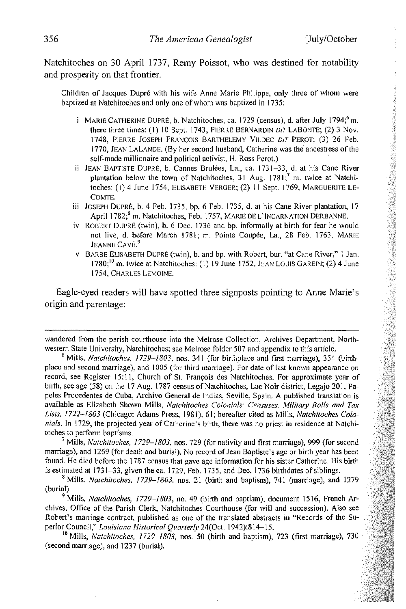Natchitoches on 30 April 1737, Remy Poissot, who was destined for notability and prosperity on that frontier.

Children of Jacques Dupre with his wife Anne Marie Philippe, only three of whom were baptized at Natchitoches and only one of whom was baptized in 1735:

- i MARIE CATHERINE DUPRÉ, b. Natchitoches, ca. 1729 (census), d. after July 1794;<sup>6</sup> m. there three times: (1) 10 Sept. 1743, PIERRE BERNARDIN DIT LABONTE; (2) 3 Nov. 1748, PIERRE JOSEPH FRANÇOIS BARTHELEMY VILDEC DIT PEROT; (3) 26 Feb. 1770, JEAN LALANDE. (By her second husband, Catherine was the ancestress of the self-made millionaire and political activist, H. Ross Perot.)
- ii JEAN BAPTISTE DUPRE, b. Cannes Brulees, La., ca. 1731-33, d. at his Cane River plantation below the town of Natchitoches, 31 Aug.  $1781$ ;<sup>7</sup> m. twice at Natchitoches: (I) 4 June 1754, ELISABETH VERGER; (2) II Sept. 1769, MARGUERITE LE-COMTE.
- iii JOSEPH DUPRÉ, b. 4 Feb. 1735, bp. 6 Feb. 1735, d. at his Cane River plantation, 17 April 1782;<sup>8</sup> m. Natchitoches, Feb. 1757, MARIE DE L'INCARNATION DERBANNE.
- iv ROBERT DUPRE (twin), b. 6 Dec. 1736 and bp. informally at birth for fear he would not live, d. before March 1781; m. Pointe Coupée, La., 28 Feb. 1763, MARIE JEANNE CAVÉ.<sup>9</sup>
- v BARBE ELISABETH DUPRE (twin), b. and bp. with Robert, bur. "at Cane River," 1 Jan.  $1780$ ; <sup>10</sup> m. twice at Natchitoches: (1) 19 June 1752, JEAN LOUIS GAREIN; (2) 4 June 1754, CHARLES LEMOINE.

Eagle-eyed readers will have spotted three signposts pointing to Anne Marie's origin and parentage:

7 Mills, *Natchitoches, 1729-1803,* nos. 729 (for nativity and first marriage), 999 (for second marriage), and 1269 (for death and burial). No record of Jean Baptiste's age or birth year has been found. He died before the 1787 census that gave age infonnation for his sister Catherine. His birth is estimated at 1731-33, given the ca. 1729, Feb. 1735, and Dec. 1736 birthdates of siblings.

9 Mills, *Natchitoches, 1729-1803,* no. 49 (birth and baptism); document 1516, French Archives, Office of the Parish Clerk, Natchitoches Courthouse (for will and succession). Also see Robert's marriage contract, published as one of the translated abstracts in "Records of the Superior Council," *Louisiana Historical Quarterly* 24(Oct. 1942):814-15.

<sup>10</sup> Mills, *Natchitoches, 1729–1803*, nos. 50 (birth and baptism), 723 (first marriage), 730 (second marriage), and 1237 (burial).

wandered from the parish courthouse into the Melrose Collection, Archives Department, Northwestern State University, Natchitoches; see Melrose folder 507 and appendix to this article.

<sup>6</sup> Mills, *Natchitoches, 1729-1803,* nos. 341 (for birthplace and first marriage), 354 (birthplace and second marriage), and 1005 (for third marriage). For date of last known appearance on record, see Register 15:11, Church of St. François des Natchitoches. For approximate year of birth, see age (58) on the 17 Aug. 1787 census of Natchitoches, Lac Noir district, Legajo 201, Papeles Procedentes de Cuba, Archivo General de Indias, Seville, Spain. A published translation is available as Elizabeth Shown Mills, *Natchitoches Colonials: Censuses, Military Rolls and Tax* Lists, 1722-1803 (Chicago: Adams Press, 1981), 61; hereafter cited as Mills, *Natchitoches Colonials.* **In** 1729, the projected year of Catherine's birth, there was no priest in residence at Natchitoches to perform baptisms.

<sup>8</sup> Mills, *Natchitoches, 1729-1803,* nos. 21 (birth and baptism), 741 (marriage), and 1279 (burial).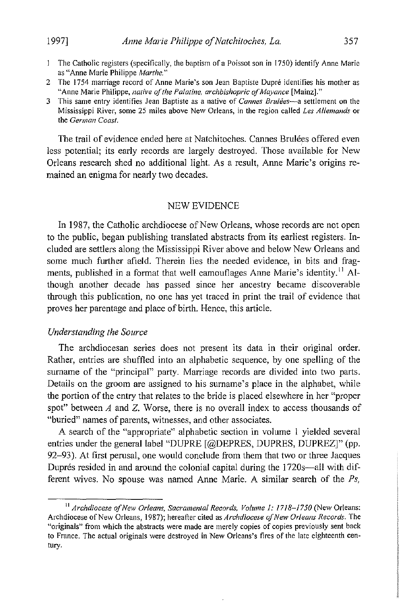- **The Catholic registers (specifically, the baptism of a Poissot son in 1750) identify Anne Marie as "Anne Marie Philippe** *Marthe."*
- **2 The 1754 marriage record of Anne Marie's son Jean Baptiste Dupre identifies his mother as "Anne Marie Philippe,** *native of the Palatine, archbishopric ofMayance* **[Mainz]."**
- **3 This same entry identifies Jean Baptiste as a native of** *Cannes Brulees-a* **settlement on the Mississippi River, some 25 miles above New Orleans, in the region called** *Les Allemands* **or the** *German Coast.*

The trail of evidence ended here at Natchitoches. Cannes Brulees offered even less potential; its early records are largely destroyed. Those available for New Orleans research shed no additional light. As a result, Anne Marie's origins remained an enigma for nearly two decades.

#### NEW EVIDENCE

In 1987, the Catholic archdiocese of New Orleans, whose records are not open to the public, began publishing translated abstracts from its earliest registers. Included are settlers along the Mississippi River above and below New Orleans and some much further afield. Therein lies the needed evidence, in bits and fragments, published in a format that well camouflages Anne Marie's identity.<sup>11</sup> Although another decade has passed since her ancestry became discoverable through this publication, no one has yet traced in print the trail of evidence that proves her parentage and place of birth. Hence, this article.

#### *Understanding the Source*

The archdiocesan series does not present its data in their original order. Rather, entries are shuffled into an alphabetic sequence, by one spelling of the surname of the "principal" party. Marriage records are divided into two parts. Details on the groom are assigned to his surname's place in the alphabet, while the portion of the entry that relates to the bride is placed elsewhere in her "proper spot" between *A* and Z. Worse, there is no overall index to access thousands of **"buried" names of parents, witnesses, and other associates.** 

A search of the "appropriate" alphabetic section in volume I yielded several entries under the general label "DUPRE [@DEPRES, DUPRES, DUPREZj" (pp. 92-93). At first perusal, one would conclude from them that two or three Jacques Duprés resided in and around the colonial capital during the 1720s—all with different wives. No spouse was named Anne Marie. A similar search of the *Ps,* 

**II** *Archdiocese of New Orleans, Sacramental Records, Volume* **1:** *1718-1750* **(New Orleans: Archdiocese** of New **Orleans, 1987); hereafter cited as** *Archdiocese of New Orleans Records.* **The "originals" from which the abstracts were made are merely copies of copies previously sent back to France, The actual originals were destroyed in New Orleans's fires of the late eighteenth century,**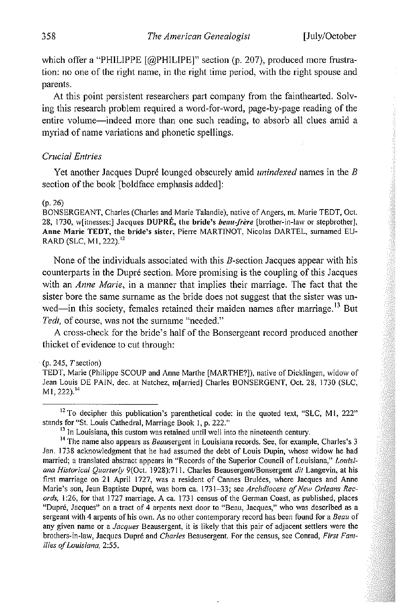which offer a "PHILIPPE [@PHILIPE]" section (p. 207), produced more frustration: no one of the right name, in the right time period, with the right spouse and parents.

At this point persistent researchers part company from the fainthearted. Solving this research problem required a word-for-word, page-by-page reading of the **entire volume-indeed more than one such reading, to absorb all clues amid a**  myriad of name variations and phonetic spellings.

#### *Crucial Entries*

Yet another Jacques Dupré lounged obscurely amid *unindexed* names in the *B* section of the book [boldface emphasis added]:

#### (p.26)

**BONSERGEANT, Charles (Charles and Marie Talandie), native of Angers, m. Marie TEDT, Oct. 28, 1730, w[itnesses:] Jacques DUPRE, the bride's** *beau.j'rere* **[brother-in-law or stepbrother], Anne Marie TEOT, the bride's sister, Pierre MARTINOT, Nicolas DARTEL, surnamed EU-**RARD (SLC, M1, 222).<sup>12</sup>

None of the individuals associated with this B-section Jacques appear with his counterparts in the Dupré section. More promising is the coupling of this Jacques with an *Anne Marie,* in a manner that implies their marriage. The fact that the sister bore the same surname as the bride does not suggest that the sister was unwed-in this society, females retained their maiden names after marriage.<sup>13</sup> But *Ted!,* of course, **was not the surname '"needed."** 

A cross-check for the bride's half of the Bonsergeant record produced another thicket of evidence to cut through:

#### **(p. 245,** *T* **section)**

**TEDT, Marie (Philippe SCOUP and Anne Marthe [MARTHE?}), native of Dicklingen, widow of**  Jean Louis DE PAIN, dec. at Natchez, m[arried] Charles BONSERGENT, Oct. 28,1730 (SLC, M1, 222).<sup>14</sup>

<sup>&</sup>lt;sup>12</sup> To decipher this publication's parenthetical code: in the quoted text, "SLC, M1, 222" **stands for "St. Louis Cathedral, Marriage Book 1, p. 222."** 

<sup>&</sup>lt;sup>13</sup> In Louisiana, this custom was retained until well into the nineteenth century.

<sup>&</sup>lt;sup>14</sup> The name also appears as *Beausergent in Louisiana records. See, for example, Charles's 3* **Jan. 1738 acknowledgment that he had assumed the debt of Louis Dupin, whose widow he had married; a translated abstract appears in "Records of the Superior Council of Louisiana,"** *Louisiana Historical Quarterly 9*(Oct. 1928):711. Charles Beausergent/Bonsergent *dit* Langevin, at his **first marriage on 21 April 1727, was a resident of Cannes Brulees, where Jacques and Anne Marie's son, Jean Baptiste Dupre, was born ca. 1731-33; see** *Archdiocese oj New Orleans Records,* **1 :26, for that 1727 marriage. A ca. 1731 census of the Gennan Coast, as published, places "Dupre, Jacques" on a tract of 4 arpents next door to "Beau, Jacques," who was described as a sergeant with 4 arpents** of his **own. As no other contemporary record has been found for a** *Beau* **of any given name or a** *Jacques* **Beausergent, it is likely that this pair of adjacent settlers were the brothers-in-law, Jacques Dupre and** *Charles* **Beausergent For the census, see Conrad,** *First Families oj Louisiana, 2:55.*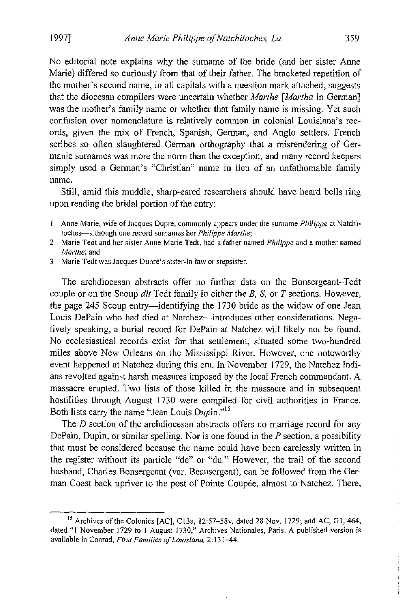No editorial note explains why the surname of the bride (and her sister Anne Marie) differed so curiously from that of their father. The bracketed repetition of the mother's second name, in all capitals with a question mark attached, suggests that the diocesan compilers were uncertain whether *Marthe [Martha* in German] was the mother's family name or whether that family name is missing. Yet such **confusion over nomenclature is relatively common in colonial Louisiana's rec**ords, given the mix of French, Spanish, German, and Anglo settlers. French scribes so often slaughtered German orthography that a misrendering of Germanic surnames was more the norm than the exception; and many record keepers simply used a German's "Christian" name in lieu of an unfathomable family **name.** 

Still, amid this muddle, sharp-eared researchers should have heard bells ring upon reading the bridal portion of the entry:

- **Anne Marie, wife of Jacques Dupré, commonly appears under the surname** *Philippe* **at Natchitoches-although one record surnames her** *Philippe Marthe;*
- **2 Marie Tedt and her sister Anne Marie Tedt, had a father named** *Philippe* **and a mother named**  *Marthe;* **and**
- **3 Marie Tedt was Jacques Dupre's sister-in-law or stepsister.**

The archdiocesan abstracts offer no further data on the Bonsergeant-Tedt couple or on the Scoup dit Tedt family in either the  $B$ ,  $S$ , or  $T$  sections. However, the page 245 Scoup entry—identifying the 1730 bride as the widow of one Jean Louis DePain who had died at Natchez-introduces other considerations. Negatively speaking, a burial record for DePain at Natchez will likely not be found. No ecclesiastical records exist for that settlement, situated some two-hundred miles above New Orleans on the Mississippi River. However, one noteworthy event happened at Natchez during this era. In November 1729, the Natchez Indians revolted against harsh measures imposed by the local French commandant. A massacre erupted. Two lists of those killed in the massacre and in subsequent hostilities through August 1730 were compiled for civil authorities in France. Both lists carry the name "Jean Louis *Dupin."l5* 

The D section of the archdiocesan abstracts offers no marriage record for any DePain, Dupin, or similar spelling. Nor is one found in the *P* section, a possibility that must be considered because the name could have been carelessly written in the register without its particle "de" or "du." However, the trail of the second husband, Charles Bonsergeant (var. Beausergent), can be followed from the German Coast back upriver to the post of Pointe Coupée, almost to Natchez. There,

Î,  $\overline{\phantom{a}}$ 

**<sup>15</sup>Archives** of the **Colonies [AC], C13a, 12:57-58v, dated 28 Nov. 1729; and AC, GI, 464, dated "I November 1729 to 1 August 1730," Archives Nationales, Paris. A published version is available in Conrad,** *First Families of Louisiana,* **2: 131-44.**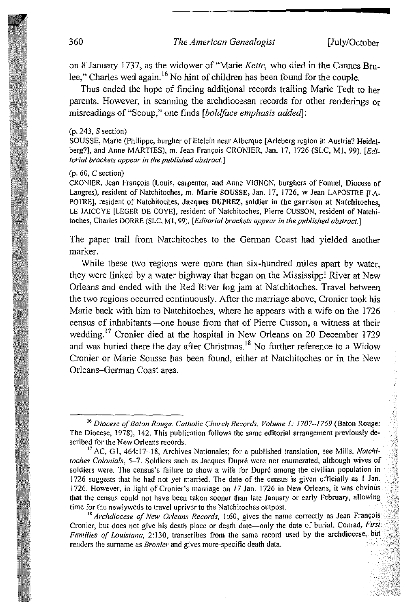on K January 1737, as the widower of "Marie *Kelte,* who died in the Cannes Brulee," Charles wed again. 16 No hint of children has been found for the couple.

Thus ended the hope of finding additional records trailing Marie Tedt to her parents. However, in scanning the archdiocesan records for other renderings or misreadings of"Scoup," one finds *[bold/ace emphasis addedJ:* 

#### (p. 243, S section)

SOUSSE, Marie (Philippe, burgher of Etelein near Alberque [Arleberg region in Austria? Heidelberg?], and Anne MARTIES), m. Jean François CRONIER, Jan. 17, 1726 (SLC, M1, 99). [Edi*torial brackets appear in the published abstract.}* 

#### (p. 60, C section)

CRONIER, Jean François (Louis, carpenter, and Anne VIGNON, burghers of Fonuel, Diocese of **Langres), resident** of Natchitoches, **m. Marie SOUSSE, Jan. 17, 1726, w Jean LAPOSTRE [LA-POTRE], resident of Natchitoches, Jacques DUPREZ, soldier in the garrison at Natchitoches, LE JAICQYE [LEGER DE COVE], resident of Natchitoches, Pierre CUSSON, resident of Natchitoches, Charles DORRE (SLC, MI, 99).** *[Editorial brackets appear in the published abstract.]* 

The paper trail from Natchitoches to the German Coast had yielded another marker.

While these two regions were more than six-hundred miles apart by water, they were linked by a water highway that began on the Mississippi River at New Orleans and ended with the Red River log jam at Natchitoches. Travel between the two regions occurred continuously. After the marriage above, Cronier took his Marie back with him to Natchitoches, where he appears with a wife on the 1726 census of inhabitants-one house from that of Pierre Cusson, a witness at their wedding.<sup>17</sup> Cronier died at the hospital in New Orleans on 20 December 1729 and was buried there the day after Christmas.<sup>18</sup> No further reference to a Widow Cronier or Marie Sousse has been found, either at Natchitoches or in the New Orleans-German Coast area.

**<sup>16</sup>***Diocese of Baton Rouge, Catholic Church Records, Volume I: 1707-1769* **(Baton Rouge: The Diocese, 1978), 142. This publication follows the same editorial arrangement previously described for the New Orleans records.** 

**<sup>17</sup>** *AC,* **G J, 464: 17-18, Archives Nationales; for a published translation, see Mills,** *Natchitoches Colonia/s,* **5-7. Soldiers such as Jacques Dupre were not enumerated, although wives of soldiers were. The census's failure to show a wife for Dupre among the civilian population in 1726 suggests that he had not yet married. The date of the census is given officially as 1 Jan. 1726. However, in light ofCronier's marriage on** *17* **Jan. 1726 in New Orleans, it was obvious that the census could not have been taken sooner than late January or early February, allowing time for the newlyweds to travel upriver to the Natchitoches outpost.** 

<sup>&</sup>lt;sup>18</sup> Archdiocese of New Orleans Records, 1:60, gives the name correctly as Jean François **Cronier, but does not give his death place or death date-only the date of burial. Conrad,** *First Families of Louisiana,* **2:130, transcribes from the same record used by the archdiocese, but renders the surname as** *Bronier* **and gives more-specific death data.**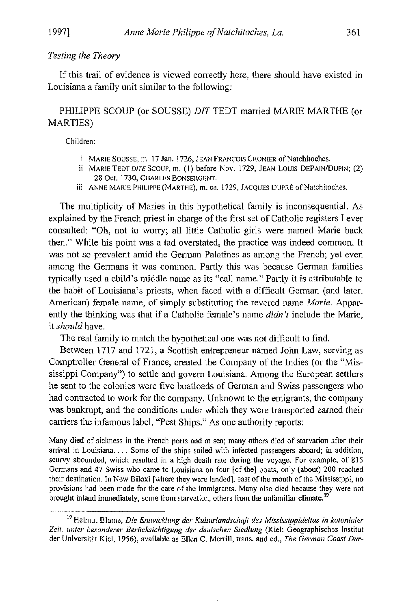#### *Testing the Theory*

If this trail of evidence is viewed correctly here, there should have existed in Louisiana a family unit similar to the following:

### PHILIPPE SCOUP (or SOUSSE) *DIT* TEDT married MARIE MARTHE (or MARTIES)

**Children:** 

- **i MARIE SOUSSE, m. 17 Jan. 1726, JEAN FRANCOIS CRONIER** of Natchitoches.
- **ii MARIE TEDT DITE SCOUP, m. (I) before Nov. 1729, JEAN LOUIS DEPAIN/DUPIN; (2) 28 Oct. 1730, CHARLES BONSERGENT.**
- **iii ANNE MARIE PHILIPPE (MARTHE), m. ca. 1729, JACQUES DUPRE** of Natchitoches.

The multiplicity of Maries in this hypothetical family is inconsequential. As explained by the French priest in charge of the first set of Catholic registers I ever consulted: "Oh, not to worry; all little Catholic girls were named Marie back then." While his point was a tad overstated, the practice was indeed common. It was not so prevalent amid the German Palatines as among the French; yet even among the Germans it was common. Partly this was because German families typically used a child's middle name as its "call name." Partly it is attributable to the habit of Louisiana's priests, when faced with a difficult German (and later, American) female name, of simply substituting the revered name *Marie.* Apparently the thinking was that if a Catholic female's name *didn* 'f include the Marie, it *should* have.

The real family to match the hypothetical one was not difficult to find.

Between 1717 and 1721, a Scottish entrepreneur named John Law, serving as Comptroller General of France, created the Company of the Indies (or the "Mississippi Company") to settle and govern Louisiana. Among the European settlers he sent to the colonies were five boatloads of German and Swiss passengers who had contracted to work for the company. Unknown to the emigrants, the company was bankrupt; and the conditions under which they were transported earned their carriers the infamous label, "Pest Ships." As one authority reports:

**Many died of sickness in the French ports and at sea; many others died of starvation after their arrival in Louisiana .... Some of the ships sailed with infected passengers aboard; in addition, scurvy abounded, which resulted in a high death rate during the voyage. For example, of 815 Germans and 47 Swiss who came to Louisiana on four [of the] boats, only (about) 200 reached their destination. In New Biloxi [where they were landed], east** of the **mouth** of the **Mississippi, no provisions had been made for the care of the immigrants. Many also died because they were not brought inland immediately, some from starvation, others from the unfamiliar climate. <sup>19</sup>**

<sup>&</sup>lt;sup>19</sup> Helmut Blume, *Die Entwicklung der Kulturlandschaft des Mississippideltas in kolonialer* Zeit, unter besonderer Berücksichtigung der deutschen Siedlung (Kiel: Geographisches Institut **der Universitat Kiei, 1956), available as Ellen C. Merrill, trans. and ed.,** *The German Coast Dur-*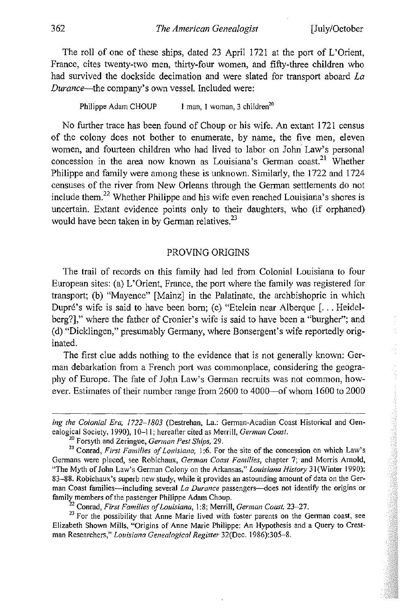The roll of one of these ships, dated 23 April 1721 at the port of L'Orient, France, cites twenty-two men, thirty-four women, and fifty-three children who had survived the dockside decimation and were slated for transport aboard *La Durance-the* company's own vessel. Included were:

Philippe Adam CHOUP **I man, I woman, 3 chiidren<sup>20</sup>**

No further trace has been found of Choup or his wife. An extant 1721 census of the colony does not bother to enumerate, by name, the five men, eleven women, and fourteen children who had lived to labor on John Law's personal concession in the area now known as Louisiana's German coast.<sup>21</sup> Whether Philippe and family were among these is unknown. Similarly, the 1722 and 1724 censuses of the river from New Orleans through the German settlements do not include them.<sup>22</sup> Whether Philippe and his wife even reached Louisiana's shores is uncertain. Extant evidence points only to their daughters, who (if orphaned) would have been taken in by German relatives.<sup>23</sup>

#### PROVING ORIGINS

The trail of records on this family had led from Colonial Louisiana to four European sites: (a) L'Orient, France, the port where the family was registered for transport; (b) "Mayence" [Mainz] in the Palatinate, the archbishopric in which Dupre's wife is said to have been born; (c) "Etelein near Alberque [... Heidelberg?]," where the father of Cronier's wife is said to have been a "burgher"; and (d) "Dicklingen," presumably Germany, where Bonsergent's wife reportedly originated.

The first clue adds nothing to the evidence that is not generally known: German debarkation from a French port was commonplace, considering the geography of Europe. The fate of John Law's German recruits was not common, however. Estimates of their number range from 2600 to 4000--of whom 1600 to 2000

<sup>22</sup>**Conrad,** *First Families o/Louisiana,* **1:8; Merrill,** *German Coast, 23-27.* 

<sup>23</sup> For the possibility that Anne Marie lived with foster parents on the German coast, see **Elizabeth Shown Mills, "Origins of Anne Marie Philippe: An Hypothesis and a Query to Crestman Researchers,"** *Louisiana Genealogical Register* **32(Dec. 1986):305-8.** 

*ing the Colonial Era, 1722-/803* **(Destrehan, La.: German-Acadian Coast Historical and Genealogical Society, 1990), 10-11; hereafter cited as Merrill,** *German Coast.* 

**<sup>10</sup>Forsyth and Zeringue,** *German Pest Ships, 29.* 

**<sup>21</sup>Conrad,** *First Families of Louisiana,* **1 :6. For the site of the concession on which Law's Germans were placed, see Robichaux,** *German Coast Families,* **chapter 7; and Morris Arnold, "The Myth of John Law's German Colony on the Arkansas,"** *Louisiana History* 3 1 (Winter **1990): 83-88. Robichaux's superb new study, while it provides an astounding amount of data on the Ger**man Coast families—including several *La Durance* passengers—does not identify the origins or **family members** of the **passenger Philippe Adam Choup.**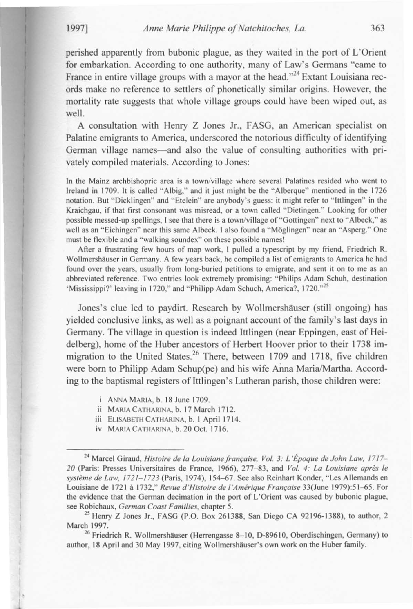I

1

I

I

•

perished apparently from bubonic plague, as they waited in the port of L'Orient for embarkation. According to one authority, many of Law's Germans "came to France in entire village groups with a mayor at the head."<sup>24</sup> Extant Louisiana records make no reference to settlers of phonetically similar origins. However, the mortality rate suggests that whole village groups could have been wiped out, as well.

A consultation with Henry Z Jones Jr. , FASG, an American specialist on Palatine emigrants to America, underscored the notorious difficulty of identifying German village names—and also the value of consulting authorities with privately compiled materials. According to Jones:

In the Mainz archbishopric area is a town/village where several Palatines resided who went to Ireland in 1709. It is called "Albig," and it just might be the "Alberque" mentioned in the 1726 notation. But "Dicklingen" and "Etelein" are anybody's guess: it might refer to "Ittlingen" in the Kraichgau, if that first consonant was misread, or a town called "Dietingen." Looking for other possible messed-up spellings, I see that there is a town/village of "Gottingen" next to "Albeck," as well as an "Eichingen" near this same Albeck. I also found a "Möglingen" near an "Asperg." One must be flexible and a "walking soundex" on these possible names!

After a frustrating few hours of map work, I pulled a typescript by my friend, Friedrich R. Wollmershäuser in Germany. A few years back, he compiled a list of emigrants to America he had found over the years, usually from long·buried petitions to emigrate, and sent it on to me as an abbreviated reference. Two entries look extremely promising: "Philips Adam Schuh, destination 'Mississippi?' leaving in 1720," and "Philipp Adam Schuch, America?, 1720."<sup>25</sup>

Jones's clue led to paydirt. Research by Wollmershäuser (still ongoing) has

yielded conclusive links, as well as a poignant account of the Family's last days in Germany. The village in question is indeed Ittlingen (near Eppingen, east of Heidelberg), home of the Huber ancestors of Herbert Hoover prior to their 1738 immigration to the United States.<sup>26</sup> There, between 1709 and 1718, five children were born to Philipp Adam Schup(pe) and his wife Anna Maria/Martha. According to the baptismal registers of Ittlingen's Lutheran parish, those children were:

<sup>24</sup> Marcel Giraud, *Histoire de la Louisiane française, Vol. 3: L'Époque de John Law, 1717-20* (Paris: Presses Universitaires de France, 1966), 277- 83, and *Vol.* 4: *La LOllisiane apres Ie sysleme de Law, 1721- 1723* (Paris, 1974), 154-67. See also Reinhart Konder. "Les Allemands en Louisiane de 172 1 a 1732," *Revue d 'Histoire de "Amerique Franraise* 33(June 1979):5 1-65. For the evidence that the German decimation in the port of L'Orient was caused by bubonic plague, see Robichaux, *German Coast Families,* chapter 5.

 $^{25}$  Henry Z Jones Jr., FASG (P.O. Box 261388, San Diego CA 92196-1388), to author, 2 March 1997.

<sup>26</sup> Friedrich R. Wollmershäuser (Herrengasse 8-10, D-89610, Oberdischingen, Germany) to author, 18 April and 30 May 1997, citing Wollmershäuser's own work on the Huber family.

i ANNA MARIA, b. 18 June 1709.

ii MARIA CATHARINA, b. 17 March 1712.

iii ELISABETH CATHARINA, b. 1 April 1714.

iv MARIA CATHARINA, b. 20 Oct. 1716.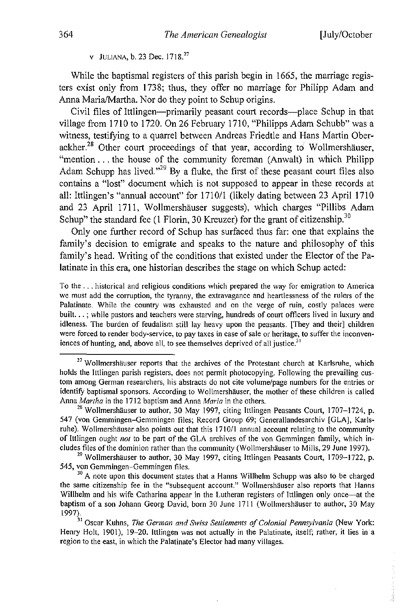v JULIANA, b. 23 Dec. 1718.<sup>27</sup>

While the baptismal registers of this parish begin in 1665, the marriage registers exist only from 1738; thus, they offer no marriage for Philipp Adam and Anna Maria/Martha. Nor do they point to Schup origins.

Civil files of lttlingen-primarily peasant court records-place Schup in that village from 1710 to 1720. On 26 February 1710, "Philipps Adam Schubb" was a witness, testifying to a quarrel between Andreas Friedtle and Hans Martin Oberackher.<sup>28</sup> Other court proceedings of that year, according to Wollmershäuser, "mention ... the house of the community foreman (Anwalt) in which Philipp Adam Schupp has lived."<sup>29</sup> By a fluke, the first of these peasant court files also contains a "lost" document which is not supposed to appear in these records at all: Ittlingen's "annual account" for 1710/1 (likely dating between 23 April 1710 and 23 April 1711, Wollmershäuser suggests), which charges "Pillibs Adam Schup" the standard fee (1 Florin, 30 Kreuzer) for the grant of citizenship.<sup>30</sup>

Only one further record of Schup has surfaced thus far: one that explains the family's decision to emigrate and speaks to the nature and philosophy of this family's head. Writing of the conditions that existed under the Elector of the Palatinate in this era, one historian describes the stage on which Schup acted:

To the ... historical and religious conditions which prepared the way for emigration to America we must add the corruption, the tyranny, the extravagance and heartlessness of the rulers of the Palatinate. While the country was exhausted and on the verge of ruin, costly palaces were built. .. ; while pastors and teachers were starving, hundreds of court officers lived in luxury and idleness. The burden of feudalism still lay heavy upon the peasants. [They and their] children were forced to render body-service, to pay taxes in case of sale or heritage, to suffer the inconveniences of hunting, and, above all, to see themselves deprived of all justice.<sup>31</sup>

<sup>&</sup>lt;sup>27</sup> Wollmershäuser reports that the archives of the Protestant church at Karlsruhe, which holds the Ittlingen parish registers, does not permit photocopying. Following the prevailing custom among German researchers, his abstracts do not cite volume/page numbers for the entries or identify baptismal sponsors. According to Wollmershauser, the mother of these children is called Anna *Martha* in the 1712 baptism and Anna *Maria* in the others.

<sup>&</sup>lt;sup>28</sup> Wollmershäuser to author, 30 May 1997, citing Ittlingen Peasants Court, 1707-1724, p. 547 (von Gemmingen-Gemmingen files; Record Group 69; Generallandesarchiv [GLA], Karlsruhe). Wollmershäuser also points out that this 1710/1 annual account relating to the community of lttlingen ought *not* to be part of the GLA archives of the von Gemmingen family, which includes files of the dominion rather than the community (Wollmershäuser to Mills, 29 June 1997).

 $29$  Wollmershäuser to author, 30 May 1997, citing Ittlingen Peasants Court, 1709-1722, p. 545, von Gemmingen-Gemmingen files.

<sup>&</sup>lt;sup>30</sup> A note upon this document states that a Hanns Willhelm Schupp was also to be charged the same citizenship fee in the "subsequent account." Wollmershauser also reports that Hanns Willhelm and his wife Catharina appear in the Lutheran registers of Ittlingen only once—at the baptism of a son Johann Georg David, born 30 June 1711 (Wollmershäuser to author, 30 May 1997).

<sup>&</sup>lt;sup>31</sup> Oscar Kuhns, *The German and Swiss Settlements of Colonial Pennsylvania* (New York: Henry Holt, 1901), 19-20. Ittlingen was not actually in the Palatinate, itself; rather, it lies in a region to the east, in which the Palatinate's Elector had many Villages.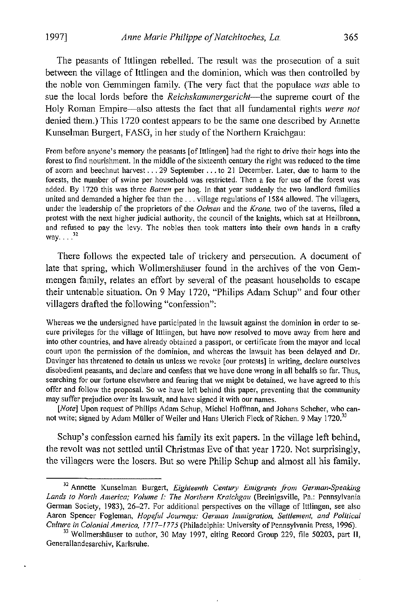The peasants of Ittlingen rebelled. The result was the prosecution of a suit between the village of Ittlingen and the dominion, which was then controlled by the noble von Gemmingen family. (The very fact that the populace *was* able to sue the local lords before the *Reichskammergericht-the* supreme court of the Holy Roman Empire-also attests the fact that all fundamental rights *were not*  denied them.) This 1720 contest appears to be the same one described by Annette Kunselman Burgert, FASG, in her study of the Northern Kraichgau:

From before anyone's memory the peasants [of Ittlingen] had the right to drive their hogs into the **forest to find nourishment. In the middle** of the **sixteenth century the right was reduced to the time of acorn and beechnut harvest ... 29 September .** . **. to 21 December. Later, due to harm to the forests, the number of swine per household was restricted. Then a fee for use of the forest was added. By 1720 this was three** *Batzen* **per hog. In that year suddenly the two landlord families united and demanded a higher fee than the .** .. **village regulations of 1584 allowed. The villagers, under the leadership of the proprietors of the** *Ochsen* **and the** *Krone,* **two of the taverns, filed a protest with the next higher judicial authority, the council of the knights, which sat at Heilbronn, and refused to pay the levy. The nobles then took matters into their own hands in a crafty** way... $^{32}$ 

There follows the expected tale of trickery and persecution. A document of late that spring, which Wollmershäuser found in the archives of the von Gemmengen family, relates an effort by several of the peasant households to escape their untenable situation. On 9 May 1720, "Philips Adam Schup" and four other villagers drafted the following "confession":

Whereas we the undersigned have participated in the lawsuit against the dominion in order to se**cure privileges for the village of Ittlingen, but have now resolved to move away from here and into other countries, and have already obtained a passport, or certificate from the mayor and local court upon the permission of the dominion, and whereas the lawsuit has been delayed and Dr. Davinger has threatened to detain us unless we revoke [our protests] in writing, declare ourselves disobedient peasants, and declare and confess that we have done wrong in all behalfs so far. Thus, searching for our fortune elsewhere and fearing that we might be detained, we have agreed to this offer and follow the proposal. So we have left behind this paper, preventing that the community may suffer prejudice over its lawsuit, and have signed it with our names.** 

*[Note]* **Upon request of Philips Adam Schup, Michel Hoffman, and Johans Scheher, who** can~ **not write; signed by Adam MUller** of Weiler **and Hans Ulerich Fleck** of Richen. **9 May 1720.<sup>33</sup>**

Schup's confession earned his family its exit papers. In the village left behind, the revolt was not settled until Christmas Eve of that year 1720. Not surprisingly, the villagers were the losers. But so were Philip Schup and almost all his family.

<sup>32</sup>**Annette Kunselman Burgert,** *Eighteenth Centwy Emigrants from* German~Speaking *Lands 10 North America; Volume I: The Northern Kraichgau* **(Breinigsville, Pa.: Pennsylvania Gennan SOCiety, 1983),26-27. For additional perspectives on the village of Ittlingen, see also Aaron Spencer Fogleman,** *Hopeful Journeys: German Immigration, Settlement, and Political Culture in Colonial America,* **1717-1775 (Philadelphia: University** of Pennsylvania **Press, 1996).** 

<sup>&</sup>lt;sup>33</sup> Wollmershäuser to author, 30 May 1997, citing Record Group 229, file 50203, part II, **Generallandesarchiv, Karlsruhe.**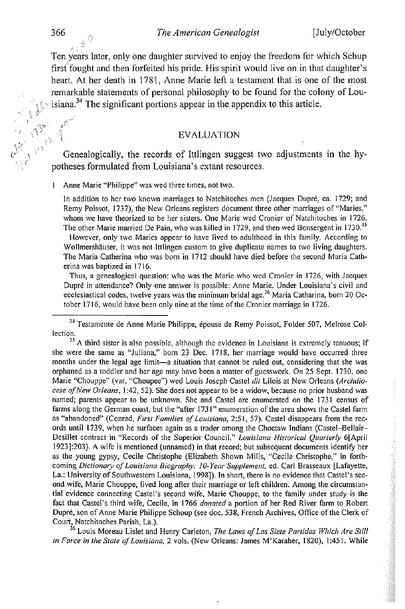Ten years later, only one daughter survived to enjoy the freedom for which Schup first'fought and then forfeited his pride. His spirit would live on in that daughter's heart. At her death in 1781, Anne Marie left a testament that is one of the most remarkable statements of personal philosophy to be found for the colony of Lou-  $\sim$  isiana.<sup>34</sup> The significant portions appear in the appendix to this article.

#### EVALUATION

Genealogically, the records of Ittlingen suggest two adjustments potheses formulated from Louisiana's extant resources. Genealogically, the records of Ittlingen suggest two adjustments in the hy-

 $\mathbf{1}$ Anne Marie "Philippe" was wed three times, not two.

In addition to her two known marriages to Natchitoches men (Jacques Dupre, ca. 1729; and Remy Poissot, 1737), the New Orleans registers document three other marriages of "Maries," whom we have theorized to be her sisters. One Marie wed Cronier of Natchitoches in 1726. The other Marie married De Pain, who was killed in 1729, and then wed Bonsergent in 1730.<sup>35</sup>

However, only two Maries appear to have lived to adulthood in this family. According to Wollmershäuser, it was not Ittlingen custom to give duplicate names to two living daughters. The Maria Catherina who was born in 1712 should have died before the second Maria Catherina was baptized in 1716.

Thus, a genealogical question: who was the Marie who wed Cronier in 1726, with Jacques Dupre in attendance? Only one answer is possible: Anne Marie. Under Louisiana's civil and ecclesiastical codes, twelve years was the minimum bridal age.<sup>36</sup> Maria Catharina, born 20 October 1716, would have been only nine at the time of the Cronier marriage in 1726.

<sup>34</sup> Testamente de Anne Marie Philippe, épouse de Remy Poissot, Folder 507, Melrose Collection.

 $35$  A third sister is also possible, although the evidence in Louisiana is extremely tenuous; if she were the same as "Juliana," born 23 Dec. 1718, her marriage would have occurred three months under the legal age limit-a situation that cannot be ruled out, considering that she was orphaned as a toddler and her age may have been a matter of guesswork. On 25 Sept. 1730, one Marie "Chouppe" (var. "Choupee") wed Louis Joseph Castel *dit* Lilois at New Orleans *(Archdiocese of New Orleans,* 1:42,52). She does not appear to be a widow, because no prior husband was named; parents appear to be unknown. She and Castel are enumerated on the 1731 census of fanns along the German coast, but the "after 1731" enumeration of the area shows the Castel farm as "abandoned" (Conrad, *First Families of Louisiana,* 2:51, 57). Castel disappears from the records until 1739, when he surfaces again as a trader among the Choctaw Indians (Castel-Bellair-Desillet contract in "Records of the Superior Council," *Louisiana Historical Quarterly* 6[April 1923]:203). A wife is mentioned (unnamed) in that record; but subsequent documents identity her as the young gypsy, Cecile Christophe (Elizabeth Shown Mills, "Cecile Christophe," in forthcoming *Dictionary of Louisiana Biography: lO-Year Supplement,* ed. Carl Brasseaux [Lafayette, La.: University of Southwestern Louisiana, 1998]). In short, there is no evidence that Castel's second wife, Marie Chouppe, lived long after their marriage or left children. Among the circumstantial evidence connecting Castel's second wife, Marie Chouppe, to the family under study is the fact that Castel's third wife, Cecile, in 1766 *donated* a portion of her Red River farm to Robert Dupre, son of Anne Marie Philippe Schoup (see doc. 538, French Archives, Office of the Clerk of Court, Natchitoches Parish, La.).

<sup>36</sup> Louis Moreau Lislet and Henry Carleton, *The Laws of Las Siete Partidas Which Are Still in Force in the State of Louisiana,* 2 vols. (New Orleans: James M'Karaher, 1820), I :451. While

 $,$   $,$   $,$   $\}$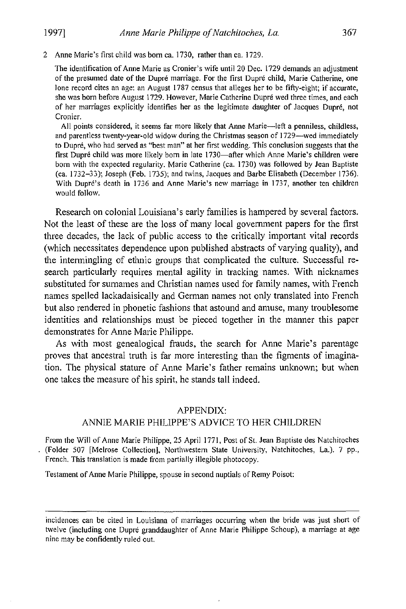2 **Anne Marie's first child was born ca. 1730, rather than ca. 1729.** 

**The identification of Anne Marie as Cronier's wife until 20 Dec. 1729 demands an adjustment of the presumed date of the Dupre marriage. For the first Dupre child, Marie Catherine, one lone record cites an age: an August 1787 census that alleges her to be** fifty~eight; **if accurate, she was born before August 1729. However, Marie Catherine Dupre wed three times, and each of her marriages explicitly identifies her as the legitimate daughter of Jacques Dupre, not Cronier.** 

**All points considered, it seems far more likely that Anne Marie-left a penniless, childless, and parentless twenty-year-old widow during the Christmas season of** I 729-wed **immediately to Dupre, who had served as "best man" at her first wedding. This conclusion suggests that the**  first Dupré child was more likely born in late 1730-after which Anne Marie's children were **born with the expected regularity. Marie Catherine (ca. 1730) was followed by Jean Baptiste (ca. 1732-33); Joseph (Feb. 1735); and twins, Jacques and Barbe Elisabeth (December 1736). With Dupre's death in 1736 and Anne Marie's new marriage in 1737, another ten children would follow.** 

Research on colonial Louisiana's early families is hampered by several factors. Not the least of these are the loss of many local government papers for the first three decades, the lack of public access to the critically important vital records (which necessitates dependence upon published abstracts of varying quality), and the intenningling of ethnic groups that complicated the culture, Successful research particularly requires mental agility in tracking names. With nicknames substituted for surnames and Christian names used for family names, with French names spelled lackadaisically and Gennan names not only translated into French but also rendered in phonetic fashions that astound and amuse, many troublesome identities and relationships must be pieced together in the manner this paper demonstrates for Anne Marie Philippe.

As with most genealogical frauds, the search for Anne Marie's parentage proves that ancestral truth is far more interesting than the figments of imagination. The physical stature of Anne Marie's father remains unknown; but when one takes the measure of his spirit, he stands tall indeed.

#### APPENDIX:

#### ANNIE MARIE PHILIPPE'S ADVICE TO HER CHILDREN

From the Will of Anne Marie Philippe, 25 April 1771, Post of St. Jean Baptiste des Natchitoches **(Folder 507 [Melrose Collection], Northwestern State University, Natchitoches, La.). 7 pp.,**  French. This translation is made from partially illegible photocopy.

**Testament of Anne Marie Philippe, spouse in second nuptials of Remy Poiso!:** 

**incidences can be cited in Louisiana of marriages occurring when the bride was just short of twelve (including one Dupre granddaughter of Anne Marie Philippe Schoup), a marriage at age nine may be confidently ruled out.**